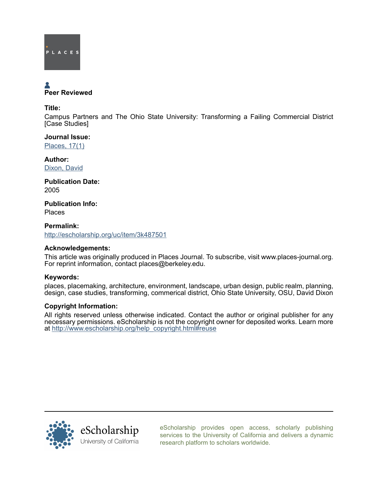

# Peer Reviewed

## Title:

Campus Partners and The Ohio State University: Transforming a Failing Commercial District [Case Studies]

Journal Issue: [Places, 17\(1\)](http://escholarship.org/uc/ced_places?volume=17;issue=1)

Author: [Dixon, David](http://escholarship.org/uc/search?creator=Dixon%2C%20David)

Publication Date: 2005

Publication Info: Places

Permalink: <http://escholarship.org/uc/item/3k487501>

# Acknowledgements:

This article was originally produced in Places Journal. To subscribe, visit www.places-journal.org. For reprint information, contact places@berkeley.edu.

# Keywords:

places, placemaking, architecture, environment, landscape, urban design, public realm, planning, design, case studies, transforming, commerical district, Ohio State University, OSU, David Dixon

### Copyright Information:

All rights reserved unless otherwise indicated. Contact the author or original publisher for any necessary permissions. eScholarship is not the copyright owner for deposited works. Learn more at [http://www.escholarship.org/help\\_copyright.html#reuse](http://www.escholarship.org/help_copyright.html#reuse)



[eScholarship provides open access, scholarly publishing](http://escholarship.org) [services to the University of California and delivers a dynamic](http://escholarship.org) [research platform to scholars worldwide.](http://escholarship.org)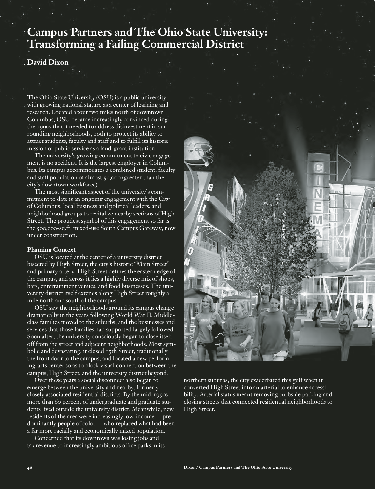# **Campus Partners and The Ohio State University: Transforming a Failing Commercial District**

# **David Dixon**

The Ohio State University (OSU) is a public university with growing national stature as a center of learning and research. Located about two miles north of downtown Columbus, OSU became increasingly convinced during the 1990s that it needed to address disinvestment in surrounding neighborhoods, both to protect its ability to attract students, faculty and staff and to fulfill its historic mission of public service as a land-grant institution.

The university's growing commitment to civic engagement is no accident. It is the largest employer in Columbus. Its campus accommodates a combined student, faculty and staff population of almost 50,000 (greater than the city's downtown workforce).

The most significant aspect of the university's commitment to date is an ongoing engagement with the City of Columbus, local business and political leaders, and neighborhood groups to revitalize nearby sections of High Street. The proudest symbol of this engagement so far is the 500,000-sq.ft. mixed-use South Campus Gateway, now under construction.

#### **Planning Context**

OSU is located at the center of a university district bisected by High Street, the city's historic "Main Street" and primary artery. High Street defines the eastern edge of the campus, and across it lies a highly diverse mix of shops, bars, entertainment venues, and food businesses. The university district itself extends along High Street roughly a mile north and south of the campus.

OSU saw the neighborhoods around its campus change dramatically in the years following World War II. Middleclass families moved to the suburbs, and the businesses and services that those families had supported largely followed. Soon after, the university consciously began to close itself off from the street and adjacent neighborhoods. Most symbolic and devastating, it closed 15th Street, traditionally the front door to the campus, and located a new performing-arts center so as to block visual connection between the campus, High Street, and the university district beyond.

Over these years a social disconnect also began to emerge between the university and nearby, formerly closely associated residential districts. By the mid-1990s more than 60 percent of undergraduate and graduate students lived outside the university district. Meanwhile, new residents of the area were increasingly low-income — predominantly people of color — who replaced what had been a far more racially and economically mixed population.

Concerned that its downtown was losing jobs and tax revenue to increasingly ambitious office parks in its



northern suburbs, the city exacerbated this gulf when it converted High Street into an arterial to enhance accessibility. Arterial status meant removing curbside parking and closing streets that connected residential neighborhoods to High Street.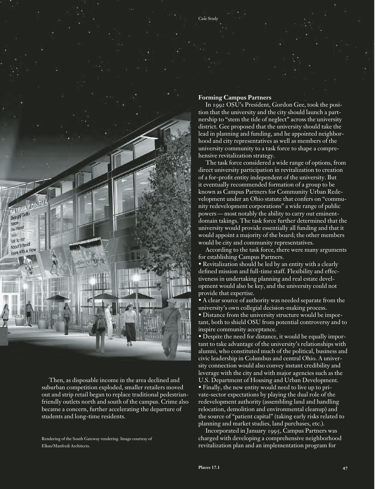

Then, as disposable income in the area declined and suburban competition exploded, smaller retailers moved out and strip retail began to replace traditional pedestrianfriendly outlets north and south of the campus. Crime also became a concern, further accelerating the departure of students and long-time residents.

Rendering of the South Gateway rendering. Image courtesy of Elkus/Manfredi Architects.

#### **Forming Campus Partners**

Case Study

In 1992 OSU's President, Gordon Gee, took the position that the university and the city should launch a partnership to "stem the tide of neglect" across the university district. Gee proposed that the university should take the lead in planning and funding, and he appointed neighborhood and city representatives as well as members of the university community to a task force to shape a comprehensive revitalization strategy.

The task force considered a wide range of options, from direct university participation in revitalization to creation of a for-profit entity independent of the university. But it eventually recommended formation of a group to be known as Campus Partners for Community Urban Redevelopment under an Ohio statute that confers on "community redevelopment corporations" a wide range of public powers — most notably the ability to carry out eminentdomain takings. The task force further determined that the university would provide essentially all funding and that it would appoint a majority of the board; the other members would be city and community representatives.

According to the task force, there were many arguments for establishing Campus Partners.

• Revitalization should be led by an entity with a clearly defined mission and full-time staff. Flexibility and effectiveness in undertaking planning and real estate development would also be key, and the university could not provide that expertise.

• A clear source of authority was needed separate from the university's own collegial decision-making process.

• Distance from the university structure would be important, both to shield OSU from potential controversy and to inspire community acceptance.

• Despite the need for distance, it would be equally important to take advantage of the university's relationships with alumni, who constituted much of the political, business and civic leadership in Columbus and central Ohio. A university connection would also convey instant credibility and leverage with the city and with major agencies such as the U.S. Department of Housing and Urban Development. • Finally, the new entity would need to live up to private-sector expectations by playing the dual role of the redevelopment authority (assembling land and handling relocation, demolition and environmental cleanup) and the source of "patient capital" (taking early risks related to planning and market studies, land purchases, etc.).

Incorporated in January 1995, Campus Partners was charged with developing a comprehensive neighborhood revitalization plan and an implementation program for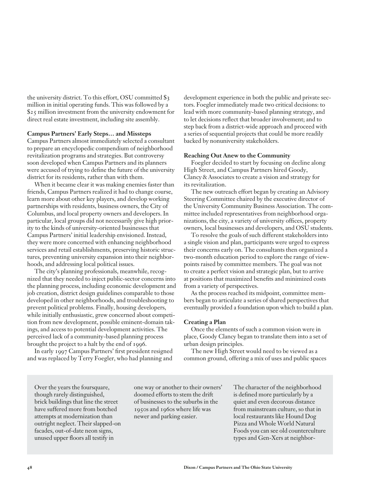the university district. To this effort, OSU committed \$3 million in initial operating funds. This was followed by a \$25 million investment from the university endowment for direct real estate investment, including site assembly.

#### **Campus Partners' Early Steps… and Missteps**

Campus Partners almost immediately selected a consultant to prepare an encyclopedic compendium of neighborhood revitalization programs and strategies. But controversy soon developed when Campus Partners and its planners were accused of trying to define the future of the university district for its residents, rather than with them.

When it became clear it was making enemies faster than friends, Campus Partners realized it had to change course, learn more about other key players, and develop working partnerships with residents, business owners, the City of Columbus, and local property owners and developers. In particular, local groups did not necessarily give high priority to the kinds of university-oriented businesses that Campus Partners' initial leadership envisioned. Instead, they were more concerned with enhancing neighborhood services and retail establishments, preserving historic structures, preventing university expansion into their neighborhoods, and addressing local political issues.

The city's planning professionals, meanwhile, recognized that they needed to inject public-sector concerns into the planning process, including economic development and job creation, district design guidelines comparable to those developed in other neighborhoods, and troubleshooting to prevent political problems. Finally, housing developers, while initially enthusiastic, grew concerned about competition from new development, possible eminent-domain takings, and access to potential development activities. The perceived lack of a community-based planning process brought the project to a halt by the end of 1996.

In early 1997 Campus Partners' first president resigned and was replaced by Terry Foegler, who had planning and

development experience in both the public and private sectors. Foegler immediately made two critical decisions: to lead with more community-based planning strategy, and to let decisions reflect that broader involvement; and to step back from a district-wide approach and proceed with a series of sequential projects that could be more readily backed by nonuniversity stakeholders.

#### **Reaching Out Anew to the Community**

Foegler decided to start by focusing on decline along High Street, and Campus Partners hired Goody, Clancy&Associates to create a vision and strategy for its revitalization.

The new outreach effort began by creating an Advisory Steering Committee chaired by the executive director of the University Community Business Association. The committee included representatives from neighborhood organizations, the city, a variety of university offices, property owners, local businesses and developers, and OSU students.

To resolve the goals of such different stakeholders into a single vision and plan, participants were urged to express their concerns early on. The consultants then organized a two-month education period to explore the range of viewpoints raised by committee members. The goal was not to create a perfect vision and strategic plan, but to arrive at positions that maximized benefits and minimized costs from a variety of perspectives.

As the process reached its midpoint, committee members began to articulate a series of shared perspectives that eventually provided a foundation upon which to build a plan.

#### **Creating a Plan**

Once the elements of such a common vision were in place, Goody Clancy began to translate them into a set of urban design principles.

The new High Street would need to be viewed as a common ground, offering a mix of uses and public spaces

Over the years the foursquare, though rarely distinguished, brick buildings that line the street have suffered more from botched attempts at modernization than outright neglect. Their slapped-on facades, out-of-date neon signs, unused upper floors all testify in

one way or another to their owners' doomed efforts to stem the drift of businesses to the suburbs in the 1950s and 1960s where life was newer and parking easier.

The character of the neighborhood is defined more particularly by a quiet and even decorous distance from mainstream culture, so that in local restaurants like Hound Dog Pizza and Whole World Natural Foods you can see old counterculture types and Gen-Xers at neighbor